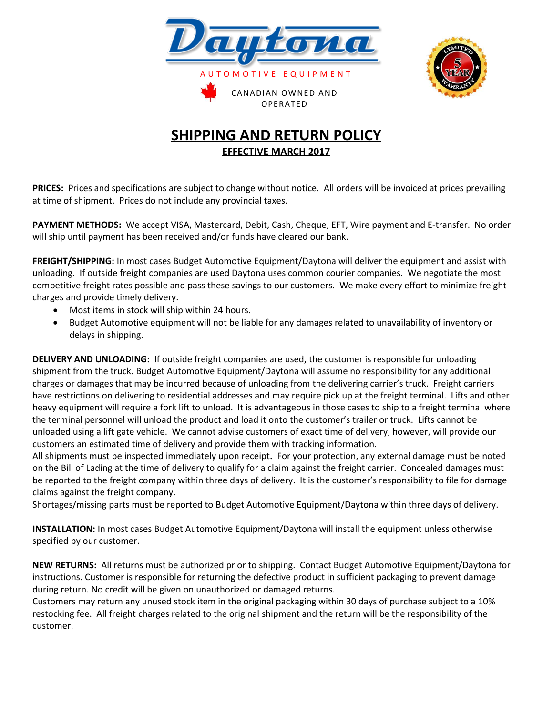



## **SHIPPING AND RETURN POLICY EFFECTIVE MARCH 2017**

**PRICES:** Prices and specifications are subject to change without notice. All orders will be invoiced at prices prevailing at time of shipment. Prices do not include any provincial taxes.

**PAYMENT METHODS:** We accept VISA, Mastercard, Debit, Cash, Cheque, EFT, Wire payment and E-transfer. No order will ship until payment has been received and/or funds have cleared our bank.

**FREIGHT/SHIPPING:** In most cases Budget Automotive Equipment/Daytona will deliver the equipment and assist with unloading. If outside freight companies are used Daytona uses common courier companies. We negotiate the most competitive freight rates possible and pass these savings to our customers. We make every effort to minimize freight charges and provide timely delivery.

- Most items in stock will ship within 24 hours.
- Budget Automotive equipment will not be liable for any damages related to unavailability of inventory or delays in shipping.

**DELIVERY AND UNLOADING:** If outside freight companies are used, the customer is responsible for unloading shipment from the truck. Budget Automotive Equipment/Daytona will assume no responsibility for any additional charges or damages that may be incurred because of unloading from the delivering carrier's truck. Freight carriers have restrictions on delivering to residential addresses and may require pick up at the freight terminal. Lifts and other heavy equipment will require a fork lift to unload. It is advantageous in those cases to ship to a freight terminal where the terminal personnel will unload the product and load it onto the customer's trailer or truck. Lifts cannot be unloaded using a lift gate vehicle. We cannot advise customers of exact time of delivery, however, will provide our customers an estimated time of delivery and provide them with tracking information.

All shipments must be inspected immediately upon receipt**.** For your protection, any external damage must be noted on the Bill of Lading at the time of delivery to qualify for a claim against the freight carrier. Concealed damages must be reported to the freight company within three days of delivery. It is the customer's responsibility to file for damage claims against the freight company.

Shortages/missing parts must be reported to Budget Automotive Equipment/Daytona within three days of delivery.

**INSTALLATION:** In most cases Budget Automotive Equipment/Daytona will install the equipment unless otherwise specified by our customer.

**NEW RETURNS:** All returns must be authorized prior to shipping. Contact Budget Automotive Equipment/Daytona for instructions. Customer is responsible for returning the defective product in sufficient packaging to prevent damage during return. No credit will be given on unauthorized or damaged returns.

Customers may return any unused stock item in the original packaging within 30 days of purchase subject to a 10% restocking fee. All freight charges related to the original shipment and the return will be the responsibility of the customer.